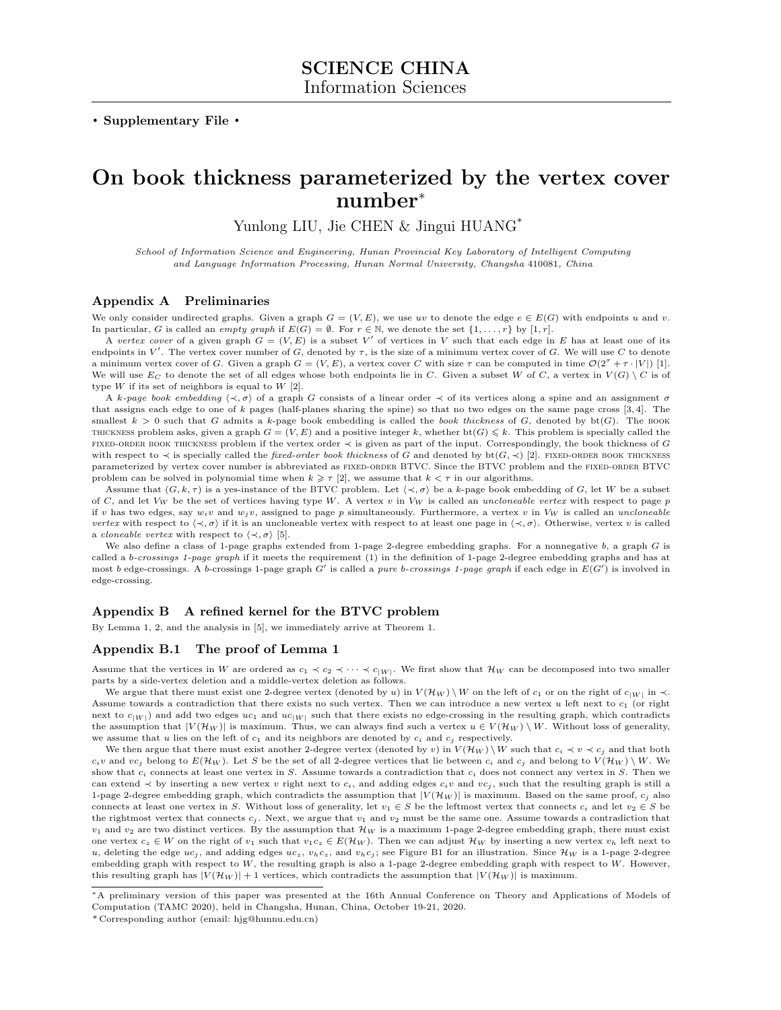. Supplementary File .

# On book thickness parameterized by the vertex cover number<sup>∗</sup>

Yunlong LIU, Jie CHEN & Jingui HUANG<sup>\*</sup>

School of Information Science and Engineering, Hunan Provincial Key Laboratory of Intelligent Computing and Language Information Processing, Hunan Normal University, Changsha 410081, China

## Appendix A Preliminaries

We only consider undirected graphs. Given a graph  $G = (V, E)$ , we use uv to denote the edge  $e \in E(G)$  with endpoints u and v. In particular, G is called an empty graph if  $E(G) = \emptyset$ . For  $r \in \mathbb{N}$ , we denote the set  $\{1, \ldots, r\}$  by  $[1, r]$ .

A vertex cover of a given graph  $G = (V, E)$  is a subset V' of vertices in V such that each edge in E has at least one of its endpoints in V'. The vertex cover number of G, denoted by  $\tau$ , is the size of a minimum vertex cover of G. We will use C to denote a minimum vertex cover of G. Given a graph  $G = (V, E)$ , a vertex cover C with size  $\tau$  can be computed in time  $\mathcal{O}(2^{\tau} + \tau \cdot |V|)$  [\[1\]](#page-4-0). We will use  $E_C$  to denote the set of all edges whose both endpoints lie in C. Given a subset W of C, a vertex in  $V(G) \setminus C$  is of type  $W$  if its set of neighbors is equal to  $W$  [\[2\]](#page-4-1).

A k-page book embedding  $\langle \prec, \sigma \rangle$  of a graph G consists of a linear order  $\prec$  of its vertices along a spine and an assignment  $\sigma$ that assigns each edge to one of k pages (half-planes sharing the spine) so that no two edges on the same page cross [\[3,](#page-4-2) [4\]](#page-4-3). The smallest  $k > 0$  such that G admits a k-page book embedding is called the book thickness of G, denoted by bt(G). The BOOK THICKNESS problem asks, given a graph  $G = (V, E)$  and a positive integer k, whether  $bt(G) \leq k$ . This problem is specially called the fixed-order book thickness problem if the vertex order ≺ is given as part of the input. Correspondingly, the book thickness of G with respect to  $\prec$  is specially called the *fixed-order book thickness* of G and denoted by bt( $G$ ,  $\prec$ ) [\[2\]](#page-4-1). FIXED-ORDER BOOK THICKNESS parameterized by vertex cover number is abbreviated as FIXED-ORDER BTVC. Since the BTVC problem and the FIXED-ORDER BTVC problem can be solved in polynomial time when  $k \geq \tau$  [\[2\]](#page-4-1), we assume that  $k < \tau$  in our algorithms.

Assume that  $(G, k, \tau)$  is a yes-instance of the BTVC problem. Let  $\langle \prec, \sigma \rangle$  be a k-page book embedding of G, let W be a subset of C, and let  $V_W$  be the set of vertices having type W. A vertex v in  $V_W$  is called an uncloneable vertex with respect to page p if v has two edges, say  $w_i v$  and  $w_j v$ , assigned to page p simultaneously. Furthermore, a vertex v in  $V_W$  is called an uncloneable vertex with respect to  $\langle \prec, \sigma \rangle$  if it is an uncloneable vertex with respect to at least one page in  $\langle \prec, \sigma \rangle$ . Otherwise, vertex v is called a *cloneable vertex* with respect to  $\langle \prec, \sigma \rangle$  [\[5\]](#page-4-4).

We also define a class of 1-page graphs extended from 1-page 2-degree embedding graphs. For a nonnegative b, a graph G is called a b-crossings 1-page graph if it meets the requirement  $(1)$  in the definition of 1-page 2-degree embedding graphs and has at most b edge-crossings. A b-crossings 1-page graph G' is called a pure b-crossings 1-page graph if each edge in  $E(G')$  is involved in edge-crossing.

# Appendix B A refined kernel for the BTVC problem

By Lemma 1, 2, and the analysis in [\[5\]](#page-4-4), we immediately arrive at Theorem 1.

# Appendix B.1 The proof of Lemma 1

Assume that the vertices in W are ordered as  $c_1 \prec c_2 \prec \cdots \prec c_{|W|}$ . We first show that  $\mathcal{H}_W$  can be decomposed into two smaller parts by a side-vertex deletion and a middle-vertex deletion as follows.

We argue that there must exist one 2-degree vertex (denoted by u) in  $V(\mathcal{H}_W) \setminus W$  on the left of  $c_1$  or on the right of  $c_{|W|}$  in  $\prec$ . Assume towards a contradiction that there exists no such vertex. Then we can introduce a new vertex u left next to  $c_1$  (or right next to  $c_{|W|}$  and add two edges uc<sub>1</sub> and uc<sub>|W|</sub> such that there exists no edge-crossing in the resulting graph, which contradicts the assumption that  $|V(H_W)|$  is maximum. Thus, we can always find such a vertex  $u \in V(H_W) \setminus W$ . Without loss of generality, we assume that u lies on the left of  $c_1$  and its neighbors are denoted by  $c_i$  and  $c_j$  respectively.

We then argue that there must exist another 2-degree vertex (denoted by v) in  $V(\mathcal{H}_W) \setminus W$  such that  $c_i \prec v \prec c_j$  and that both  $c_i v$  and  $v c_j$  belong to  $E(\mathcal{H}_W)$ . Let S be the set of all 2-degree vertices that lie between  $c_i$  and  $c_j$  and belong to  $V(\mathcal{H}_W) \setminus W$ . We show that  $c_i$  connects at least one vertex in S. Assume towards a contradiction that  $c_i$  does not connect any vertex in S. Then we can extend  $\prec$  by inserting a new vertex v right next to  $c_i$ , and adding edges  $c_i v$  and  $vc_j$ , such that the resulting graph is still a 1-page 2-degree embedding graph, which contradicts the assumption that  $|V(\mathcal{H}_W)|$  is maximum. Based on the same proof,  $c_i$  also connects at least one vertex in S. Without loss of generality, let  $v_1 \in S$  be the leftmost vertex that connects  $c_i$  and let  $v_2 \in S$  be the rightmost vertex that connects  $c_i$ . Next, we argue that  $v_1$  and  $v_2$  must be the same one. Assume towards a contradiction that  $v_1$  and  $v_2$  are two distinct vertices. By the assumption that  $\mathcal{H}_W$  is a maximum 1-page 2-degree embedding graph, there must exist one vertex  $c_z \in W$  on the right of  $v_1$  such that  $v_1c_z \in E(\mathcal{H}_W)$ . Then we can adjust  $\mathcal{H}_W$  by inserting a new vertex  $v_h$  left next to u, deleting the edge  $uc_j$ , and adding edges  $uc_z$ ,  $v_hc_z$ , and  $v_hc_j$ ; see Figure [B1](#page-1-0) for an illustration. Since  $\mathcal{H}_W$  is a 1-page 2-degree embedding graph with respect to  $W$ , the resulting graph is also a 1-page 2-degree embedding graph with respect to  $W$ . However, this resulting graph has  $|V(\mathcal{H}_W)| + 1$  vertices, which contradicts the assumption that  $|V(\mathcal{H}_W)|$  is maximum.

<sup>∗</sup>A preliminary version of this paper was presented at the 16th Annual Conference on Theory and Applications of Models of Computation (TAMC 2020), held in Changsha, Hunan, China, October 19-21, 2020.

<sup>\*</sup> Corresponding author (email: hjg@hunnu.edu.cn)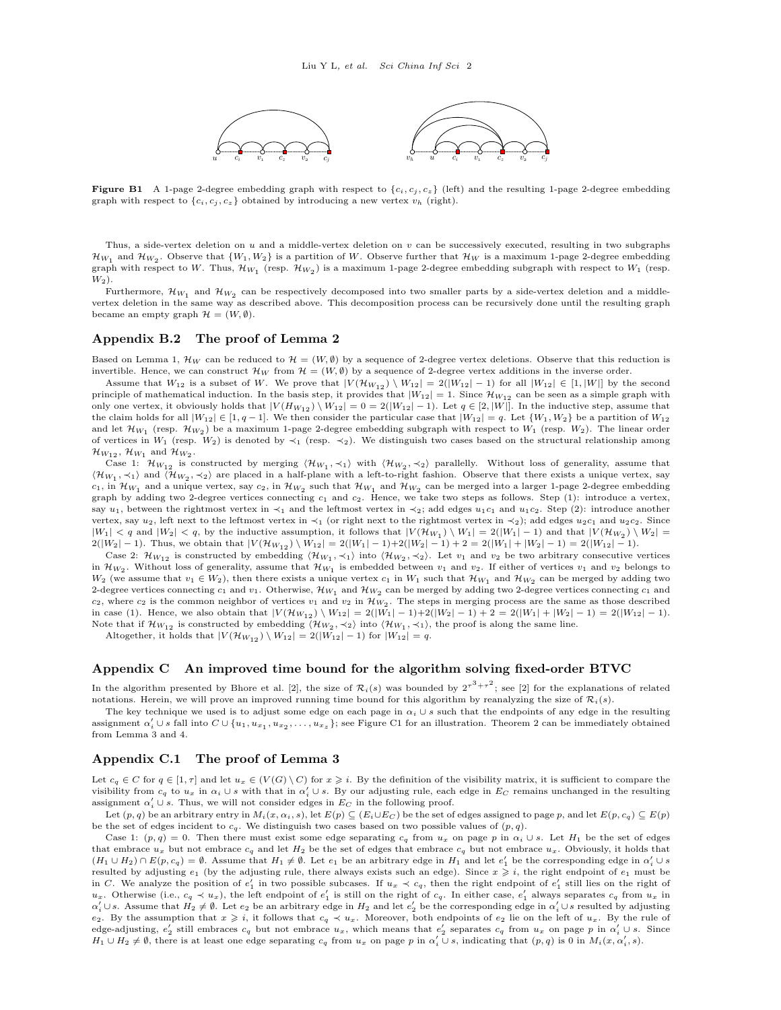

<span id="page-1-0"></span>**Figure B1** A 1-page 2-degree embedding graph with respect to  $\{c_i, c_j, c_z\}$  (left) and the resulting 1-page 2-degree embedding graph with respect to  $\{c_i, c_j, c_z\}$  obtained by introducing a new vertex  $v_h$  (right).

Thus, a side-vertex deletion on  $u$  and a middle-vertex deletion on  $v$  can be successively executed, resulting in two subgraphs  $\mathcal{H}_{W_1}$  and  $\mathcal{H}_{W_2}$ . Observe that  $\{W_1, W_2\}$  is a partition of W. Observe further that  $\mathcal{H}_W$  is a maximum 1-page 2-degree embedding graph with respect to W. Thus,  $\mathcal{H}_{W_1}$  (resp.  $\mathcal{H}_{W_2}$ ) is a maximum 1-page 2-degree embedding subgraph with respect to  $W_1$  (resp.  $W_2$ ).

Furthermore,  $\mathcal{H}_{W_1}$  and  $\mathcal{H}_{W_2}$  can be respectively decomposed into two smaller parts by a side-vertex deletion and a middlevertex deletion in the same way as described above. This decomposition process can be recursively done until the resulting graph became an empty graph  $\mathcal{H} = (W, \emptyset)$ .

#### Appendix B.2 The proof of Lemma 2

Based on Lemma 1,  $\mathcal{H}_W$  can be reduced to  $\mathcal{H} = (W, \emptyset)$  by a sequence of 2-degree vertex deletions. Observe that this reduction is invertible. Hence, we can construct  $\mathcal{H}_W$  from  $\mathcal{H} = (W, \emptyset)$  by a sequence of 2-degree vertex additions in the inverse order.

Assume that  $W_{12}$  is a subset of W. We prove that  $|V(\mathcal{H}_{W_{12}}) \setminus W_{12}| = 2(|W_{12}|-1)$  for all  $|W_{12}| \in [1, |W|]$  by the second principle of mathematical induction. In the basis step, it provides that  $|W_{12}| = 1$ . Since  $\mathcal{H}_{W_{12}}$  can be seen as a simple graph with only one vertex, it obviously holds that  $|V(H_{W_{12}}) \setminus W_{12}| = 0 = 2(|W_{12}| - 1)$ . Let  $q \in [2, |W|]$ . In the inductive step, assume that the claim holds for all  $|W_{12}| \in [1, q-1]$ . We then consider the particular case that  $|W_{12}| = q$ . Let  $\{W_1, W_2\}$  be a partition of  $W_{12}$ and let  $\mathcal{H}_{W_1}$  (resp.  $\mathcal{H}_{W_2}$ ) be a maximum 1-page 2-degree embedding subgraph with respect to  $W_1$  (resp.  $W_2$ ). The linear order of vertices in  $W_1$  (resp. W<sub>2</sub>) is denoted by  $\prec_1$  (resp.  $\prec_2$ ). We distinguish two cases based on the structural relationship among  $\mathcal{H}_{W_{12}}$ ,  $\mathcal{H}_{W_1}$  and  $\mathcal{H}_{W_2}$ .

Case 1:  $\mathcal{H}_{W_{12}}$  is constructed by merging  $\langle \mathcal{H}_{W_1}, \prec_1 \rangle$  with  $\langle \mathcal{H}_{W_2}, \prec_2 \rangle$  parallelly. Without loss of generality, assume that  $\langle \mathcal{H}_{W_1}, \prec_1 \rangle$  and  $\langle \mathcal{H}_{W_2}, \prec_2 \rangle$  are placed in a half-plane with a left-to-right fashion. Observe that there exists a unique vertex, say  $c_1$ , in  $\mathcal{H}_{W_1}$  and a unique vertex, say  $c_2$ , in  $\mathcal{H}_{W_2}$  such that  $\mathcal{H}_{W_1}$  and  $\mathcal{H}_{W_2}$  can be merged into a larger 1-page 2-degree embedding graph by adding two 2-degree vertices connecting  $c_1$  and  $c_2$ . Hence, we take two steps as follows. Step (1): introduce a vertex, say  $u_1$ , between the rightmost vertex in  $\prec_1$  and the leftmost vertex in  $\prec_2$ ; add edges  $u_1c_1$  and  $u_1c_2$ . Step (2): introduce another vertex, say  $u_2$ , left next to the leftmost vertex in  $\prec_1$  (or right next to the rightmost vertex in  $\prec_2$ ); add edges  $u_2c_1$  and  $u_2c_2$ . Since  $|W_1| < q$  and  $|W_2| < q$ , by the inductive assumption, it follows that  $|V(\mathcal{H}_{W_1}) \setminus W_1| = 2(|W_1| - 1)$  and that  $|V(\mathcal{H}_{W_2}) \setminus W_2| =$  $2(|W_2|-1)$ . Thus, we obtain that  $|V(\mathcal{H}_{W_{12}}) \setminus W_{12}| = 2(|W_1|-1)+2(|W_2|-1)+2 = 2(|W_1|+|W_2|-1) = 2(|W_{12}|-1)$ .

Case 2:  $\mathcal{H}_{W_{12}}$  is constructed by embedding  $\langle \mathcal{H}_{W_1}, \prec_1 \rangle$  into  $\langle \mathcal{H}_{W_2}, \prec_2 \rangle$ . Let  $v_1$  and  $v_2$  be two arbitrary consecutive vertices in  $\mathcal{H}_{W_2}$ . Without loss of generality, assume that  $\mathcal{H}_{W_1}$  is embedded between  $v_1$  and  $v_2$ . If either of vertices  $v_1$  and  $v_2$  belongs to W<sub>2</sub> (we assume that  $v_1 \in W_2$ ), then there exists a unique vertex  $c_1$  in  $W_1$  such that  $\mathcal{H}_{W_1}$  and  $\mathcal{H}_{W_2}$  can be merged by adding two 2-degree vertices connecting  $c_1$  and  $v_1$ . Otherwise,  $\mathcal{H}_{W_1}$  and  $\mathcal{H}_{W_2}$  can be merged by adding two 2-degree vertices connecting  $c_1$  and  $c_2$ , where  $c_2$  is the common neighbor of vertices  $v_1$  and  $v_2$  in  $\mathcal{H}_{W_2}$ . The steps in merging process are the same as those described in case (1). Hence, we also obtain that  $|V(H_{W_{12}}) \setminus W_{12}| = 2(|W_1| - 1) + 2(|W_2| - 1) + 2 = 2(|W_1| + |W_2| - 1) = 2(|W_{12}| - 1)$ . Note that if  $\mathcal{H}_{W_{12}}$  is constructed by embedding  $\langle \mathcal{H}_{W_2}, \prec_2 \rangle$  into  $\langle \mathcal{H}_{W_1}, \prec_1 \rangle$ , the proof is along the same line.

Altogether, it holds that  $|V(\mathcal{H}_{W_{12}}) \setminus W_{12}| = 2(|W_{12}|-1)$  for  $|W_{12}| = q$ .

## Appendix C An improved time bound for the algorithm solving fixed-order BTVC

In the algorithm presented by Bhore et al. [\[2\]](#page-4-1), the size of  $\mathcal{R}_i(s)$  was bounded by  $2^{\tau^3+\tau^2}$ ; see [2] for the explanations of related notations. Herein, we will prove an improved running time bound for this algorithm by reanalyzing the size of  $\mathcal{R}_i(s)$ .

The key technique we used is to adjust some edge on each page in  $\alpha_i \cup s$  such that the endpoints of any edge in the resulting assignment  $\alpha'_i \cup s$  fall into  $C \cup \{u_1, u_{x_1}, u_{x_2}, \ldots, u_{x_s}\}$ ; see Figure [C1](#page-2-0) for an illustration. Theorem 2 can be immediately obtained from Lemma 3 and 4.

#### Appendix C.1 The proof of Lemma 3

Let  $c_q \in C$  for  $q \in [1, \tau]$  and let  $u_x \in (V(G) \setminus C)$  for  $x \geq i$ . By the definition of the visibility matrix, it is sufficient to compare the visibility from  $c_q$  to  $u_x$  in  $\alpha_i \cup s$  with that in  $\alpha'_i \cup s$ . By our adjusting rule, each edge in  $E_C$  remains unchanged in the resulting assignment  $\alpha'_i \cup s$ . Thus, we will not consider edges in  $E_C$  in the following proof.

Let  $(p, q)$  be an arbitrary entry in  $M_i(x, \alpha_i, s)$ , let  $E(p) \subseteq (E_i \cup E_C)$  be the set of edges assigned to page p, and let  $E(p, c_q) \subseteq E(p)$ be the set of edges incident to  $c_q$ . We distinguish two cases based on two possible values of  $(p, q)$ .

Case 1:  $(p, q) = 0$ . Then there must exist some edge separating  $c_q$  from  $u_x$  on page p in  $\alpha_i \cup s$ . Let  $H_1$  be the set of edges that embrace  $u_x$  but not embrace  $c_q$  and let  $H_2$  be the set of edges that embrace  $c_q$  but not embrace  $u_x$ . Obviously, it holds that  $(H_1 \cup H_2) \cap E(p, c_q) = \emptyset$ . Assume that  $H_1 \neq \emptyset$ . Let  $e_1$  be an arbitrary edge in  $H_1$  and let  $e'_1$  be the corresponding edge in  $\alpha'_i \cup s$ resulted by adjusting  $e_1$  (by the adjusting rule, there always exists such an edge). Since  $x \geqslant i$ , the right endpoint of  $e_1$  must be in C. We analyze the position of  $e'_1$  in two possible subcases. If  $u_x \prec c_q$ , then the right endpoint of  $e'_1$  still lies on the right of  $u_x$ . Otherwise (i.e.,  $c_q \prec u_x$ ), the left endpoint of  $e'_1$  is still on the right of  $c_q$ . In either case,  $e'_1$  always separates  $c_q$  from  $u_x$  in  $\alpha'_i \cup s$ . Assume that  $H_2 \neq \emptyset$ . Let  $e_2$  be an arbitrary edge in  $H_2$  and let  $e'_2$  be the corresponding edge in  $\alpha'_i \cup s$  resulted by adjusting e2. By the assumption that  $x \geqslant i$ , it follows that  $c_q \prec u_x$ . Moreover, both endpoints of e2 lie on the left of  $u_x$ . By the rule of edge-adjusting,  $e'_2$  still embraces  $c_q$  but not embrace  $u_x$ , which means that  $e'_2$  separates  $c_q$  from  $u_x$  on page p in  $\alpha'_i \cup s$ . Since  $H_1 \cup H_2 \neq \emptyset$ , there is at least one edge separating  $c_q$  from  $u_x$  on page p in  $\alpha'_i \cup s$ , indicating that  $(p,q)$  is 0 in  $M_i(x,\alpha'_i, s)$ .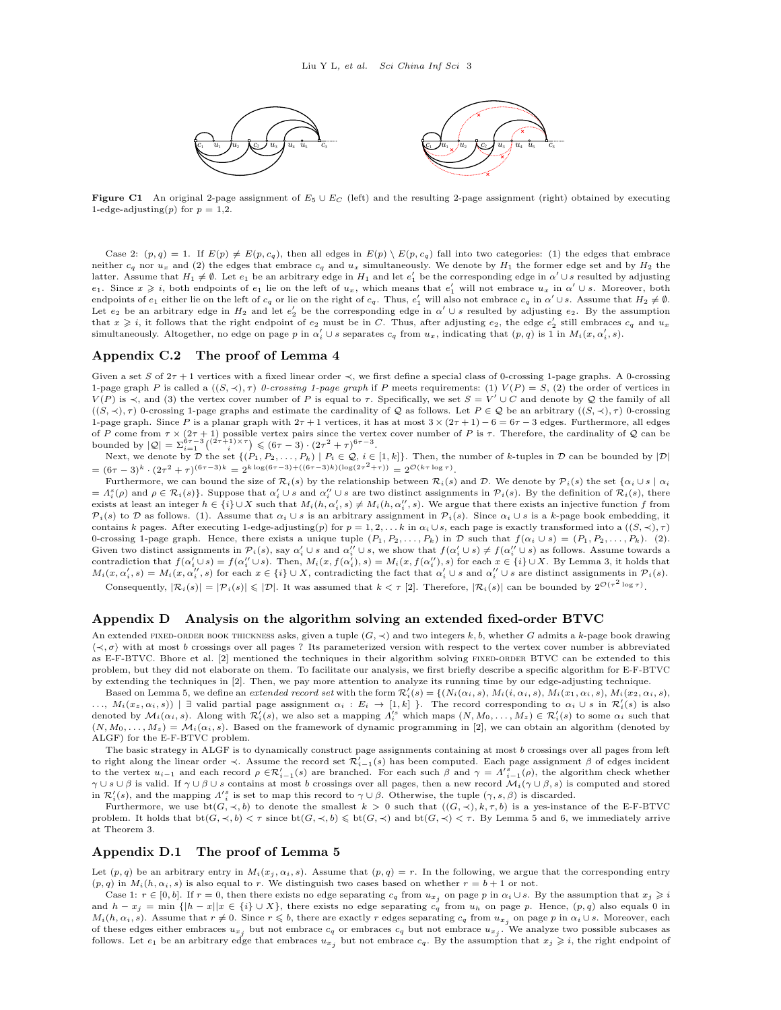<span id="page-2-0"></span>

Figure C1 An original 2-page assignment of  $E_5 \cup E_C$  (left) and the resulting 2-page assignment (right) obtained by executing 1-edge-adjusting(p) for  $p = 1,2$ .

Case 2:  $(p, q) = 1$ . If  $E(p) \neq E(p, c_q)$ , then all edges in  $E(p) \setminus E(p, c_q)$  fall into two categories: (1) the edges that embrace neither  $c_q$  nor  $u_x$  and (2) the edges that embrace  $c_q$  and  $u_x$  simultaneously. We denote by  $H_1$  the former edge set and by  $H_2$  the latter. Assume that  $H_1 \neq \emptyset$ . Let  $e_1$  be an arbitrary edge in  $H_1$  and let  $e'_1$  be the corresponding edge in  $\alpha' \cup s$  resulted by adjusting  $e_1$ . Since  $x \geq i$ , both endpoints of  $e_1$  lie on the left of  $u_x$ , which means that  $e'_1$  will not embrace  $u_x$  in  $\alpha' \cup s$ . Moreover, both endpoints of  $e_1$  either lie on the left of  $c_q$  or lie on the right of  $c_q$ . Thus,  $e'_1$  will also not embrace  $c_q$  in  $\alpha' \cup s$ . Assume that  $H_2 \neq \emptyset$ . Let  $e_2$  be an arbitrary edge in  $H_2$  and let  $e'_2$  be the corresponding edge in  $\alpha' \cup s$  resulted by adjusting  $e_2$ . By the assumption that  $x \geq i$ , it follows that the right endpoint of  $e_2$  must be in C. Thus, after adjusting  $e_2$ , the edge  $e'_2$  still embraces  $c_q$  and  $u_x$ simultaneously. Altogether, no edge on page p in  $\alpha'_i \cup s$  separates  $c_q$  from  $u_x$ , indicating that  $(p, q)$  is 1 in  $M_i(x, \alpha'_i, s)$ .

#### Appendix C.2 The proof of Lemma 4

Given a set S of  $2\tau + 1$  vertices with a fixed linear order  $\prec$ , we first define a special class of 0-crossing 1-page graphs. A 0-crossing 1-page graph P is called a  $((S, \prec), \tau)$  0-crossing 1-page graph if P meets requirements: (1)  $V(P) = S$ , (2) the order of vertices in  $V(P)$  is  $\prec$ , and (3) the vertex cover number of P is equal to  $\tau$ . Specifically, we set  $S = V' \cup C$  and denote by Q the family of all  $((S, \prec), \tau)$  0-crossing 1-page graphs and estimate the cardinality of Q as follows. Let  $P \in \mathcal{Q}$  be an arbitrary  $((S, \prec), \tau)$  0-crossing 1-page graph. Since P is a planar graph with  $2\tau + 1$  vertices, it has at most  $3 \times (2\tau + 1) - 6 = 6\tau - 3$  edges. Furthermore, all edges of P come from  $\tau \times (2\tau + 1)$  possible vertex pairs since the vertex cover number of P is  $\tau$ . Therefore, the cardinality of Q can be bounded by  $|Q| = \sum_{i=1}^{6\tau-3} { (2\tau+1) \times \tau \choose i} \leq (6\tau-3) \cdot (2\tau^2+\tau)^{6\tau-3}$ .

Next, we denote by  $\mathcal{D}$  the set  $\{(P_1, P_2, \ldots, P_k) \mid P_i \in \mathcal{Q}, i \in [1, k]\}.$  Then, the number of k-tuples in  $\mathcal{D}$  can be bounded by  $|\mathcal{D}|$ =  $(6\tau - 3)^k \cdot (2\tau^2 + \tau)^{(6\tau - 3)k} = 2^{k \log(6\tau - 3) + ((6\tau - 3)k)(\log(2\tau^2 + \tau))} = 2^{\mathcal{O}(k\tau \log \tau)}.$ 

Furthermore, we can bound the size of  $\mathcal{R}_i(s)$  by the relationship between  $\mathcal{R}_i(s)$  and  $\mathcal{D}$ . We denote by  $\mathcal{P}_i(s)$  the set  $\{\alpha_i \cup s \mid \alpha_i\}$  $= A_i^s(\rho)$  and  $\rho \in \mathcal{R}_i(s)$ . Suppose that  $\alpha_i' \cup s$  and  $\alpha_i'' \cup s$  are two distinct assignments in  $\mathcal{P}_i(s)$ . By the definition of  $\mathcal{R}_i(s)$ , there exists at least an integer  $h \in \{i\} \cup X$  such that  $M_i(h, \alpha'_i, s) \neq M_i(h, \alpha''_i, s)$ . We argue that there exists an injective function f from  $\mathcal{P}_i(s)$  to D as follows. (1). Assume that  $\alpha_i \cup s$  is an arbitrary assignment in  $\mathcal{P}_i(s)$ . Since  $\alpha_i \cup s$  is a k-page book embedding, it contains k pages. After executing 1-edge-adjusting(p) for  $p = 1, 2, \ldots k$  in  $\alpha_i \cup s$ , each page is exactly transformed into a  $((S, \prec), \tau)$ 0-crossing 1-page graph. Hence, there exists a unique tuple  $(P_1, P_2, \ldots, P_k)$  in D such that  $f(\alpha_i \cup s) = (P_1, P_2, \ldots, P_k)$ . (2). Given two distinct assignments in  $\mathcal{P}_i(s)$ , say  $\alpha'_i \cup s$  and  $\alpha''_i \cup s$ , we show that  $f(\alpha'_i \cup s) \neq f(\alpha''_i \cup s)$  as follows. Assume towards a contradiction that  $f(\alpha_i' \cup s) = f(\alpha_i'' \cup s)$ . Then,  $M_i(x, f(\alpha_i'), s) = M_i(x, f(\alpha_i''), s)$  for each  $x \in \{i\} \cup X$ . By Lemma 3, it holds that  $M_i(x, \alpha'_i, s) = M_i(x, \alpha''_i, s)$  for each  $x \in \{i\} \cup X$ , contradicting the fact that  $\alpha'_i \cup s$  and  $\alpha''_i \cup s$  are distinct assignments in  $\mathcal{P}_i(s)$ . Consequently,  $|\mathcal{R}_i(s)| = |\mathcal{P}_i(s)| \leq |\mathcal{D}|$ . It was assumed that  $k < \tau$  [\[2\]](#page-4-1). Therefore,  $|\mathcal{R}_i(s)|$  can be bounded by  $2^{\mathcal{O}(\tau^2 \log \tau)}$ .

## Appendix D Analysis on the algorithm solving an extended fixed-order BTVC

An extended FIXED-ORDER BOOK THICKNESS asks, given a tuple  $(G, \prec)$  and two integers k, b, whether G admits a k-page book drawing  $\langle \prec, \sigma \rangle$  with at most b crossings over all pages ? Its parameterized version with respect to the vertex cover number is abbreviated as E-F-BTVC. Bhore et al. [\[2\]](#page-4-1) mentioned the techniques in their algorithm solving FIXED-ORDER BTVC can be extended to this problem, but they did not elaborate on them. To facilitate our analysis, we first briefly describe a specific algorithm for E-F-BTVC by extending the techniques in [\[2\]](#page-4-1). Then, we pay more attention to analyze its running time by our edge-adjusting technique.

Based on Lemma 5, we define an extended record set with the form  $\mathcal{R}'_i(s) = \{ (N_i(\alpha_i, s), M_i(i, \alpha_i, s), M_i(x_1, \alpha_i, s), M_i(x_2, \alpha_i, s), M_i(x_3, \alpha_i, s), M_i(x_4, \alpha_i, s), M_i(x_5, \alpha_i, s)\}$ ...,  $M_i(x_z, \alpha_i, s)$  | ∃ valid partial page assignment  $\alpha_i : E_i \to [1, k]$  }. The record corresponding to  $\alpha_i \cup s$  in  $\mathcal{R}'_i(s)$  is also denoted by  $\mathcal{M}_i(\alpha_i, s)$ . Along with  $\mathcal{R}'_i(s)$ , we also set a mapping  $\Lambda_i^{s}$  which maps  $(N, M_0, \ldots, M_z) \in \mathcal{R}'_i(s)$  to some  $\alpha_i$  such that  $(N, M_0, \ldots, M_z) = \mathcal{M}_i(\alpha_i, s)$ . Based on the framework of dynamic programming in [\[2\]](#page-4-1), we can obtain an algorithm (denoted by ALGF) for the E-F-BTVC problem.

The basic strategy in ALGF is to dynamically construct page assignments containing at most b crossings over all pages from left to right along the linear order  $\prec$ . Assume the record set  $\mathcal{R}'_{i-1}(s)$  has been computed. Each page assignment  $\beta$  of edges incident to the vertex  $u_{i-1}$  and each record  $\rho \in \mathcal{R}'_{i-1}(s)$  are branched. For each such  $\beta$  and  $\gamma = \Lambda'_{i-1}^s(\rho)$ , the algorithm check whether  $\gamma \cup s \cup \beta$  is valid. If  $\gamma \cup \beta \cup s$  contains at most b crossings over all pages, then a new record  $\mathcal{M}_i(\gamma \cup \beta, s)$  is computed and stored in  $\mathcal{R}'_i(s)$ , and the mapping  $\Lambda'^s_i$  is set to map this record to  $\gamma \cup \beta$ . Otherwise, the tuple  $(\gamma, s, \beta)$  is discarded.

Furthermore, we use  $bt(G, \prec, b)$  to denote the smallest  $k > 0$  such that  $((G, \prec), k, \tau, b)$  is a yes-instance of the E-F-BTVC problem. It holds that  $bt(G, \prec, b) < \tau$  since  $bt(G, \prec, b) \leqslant bt(G, \prec)$  and  $bt(G, \prec) < \tau$ . By Lemma 5 and 6, we immediately arrive at Theorem 3.

#### Appendix D.1 The proof of Lemma 5

Let  $(p, q)$  be an arbitrary entry in  $M_i(x_i, \alpha_i, s)$ . Assume that  $(p, q) = r$ . In the following, we argue that the corresponding entry  $(p, q)$  in  $M_i(h, \alpha_i, s)$  is also equal to r. We distinguish two cases based on whether  $r = b + 1$  or not.

Case 1:  $r \in [0, b]$ . If  $r = 0$ , then there exists no edge separating  $c_q$  from  $u_{x_j}$  on page p in  $\alpha_i \cup s$ . By the assumption that  $x_j \geqslant i$ and  $h - x_j = \min \{|h - x||x \in \{i\} \cup X\}$ , there exists no edge separating  $c_q$  from  $u_h$  on page p. Hence,  $(p, q)$  also equals 0 in  $M_i(h, \alpha_i, s)$ . Assume that  $r \neq 0$ . Since  $r \leqslant b$ , there are exactly r edges separating  $c_q$  from  $u_{x_j}$  on page p in  $\alpha_i \cup s$ . Moreover, each of these edges either embraces  $u_{x_j}$  but not embrace  $c_q$  or embraces  $c_q$  but not embrace  $u_{x_j}$ . We analyze two possible subcases as follows. Let  $e_1$  be an arbitrary edge that embraces  $u_{x_j}$  but not embrace  $c_q$ . By the assumption that  $x_j \geqslant i$ , the right endpoint of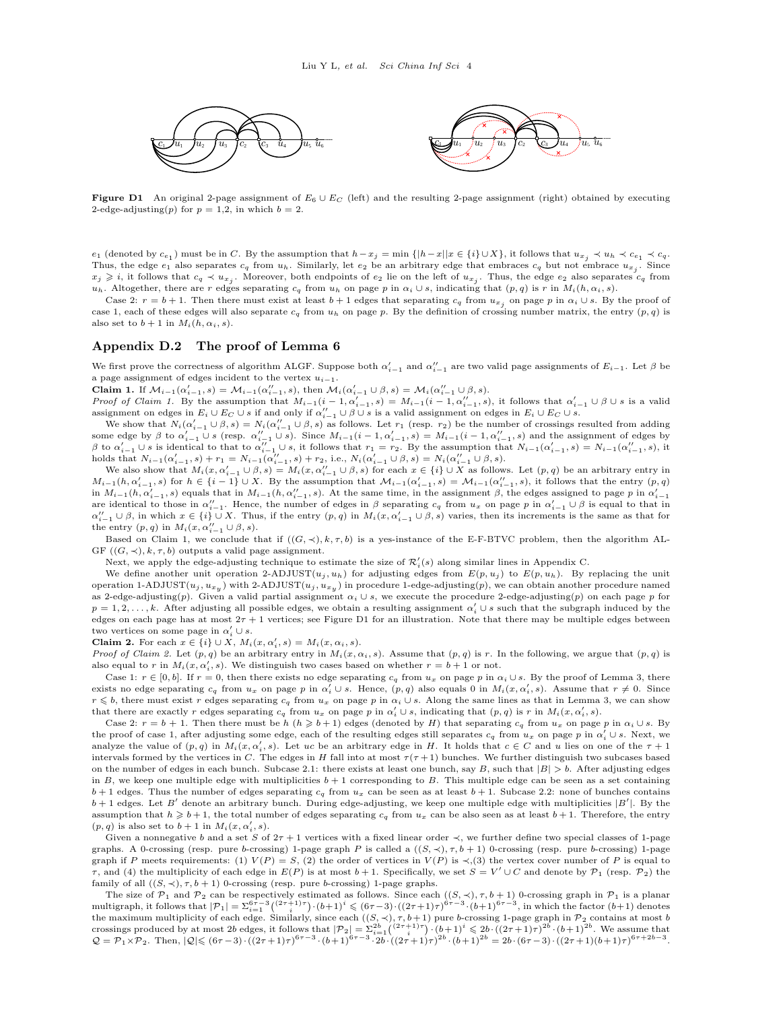<span id="page-3-0"></span>

Figure D1 An original 2-page assignment of  $E_6 \cup E_C$  (left) and the resulting 2-page assignment (right) obtained by executing 2-edge-adjusting(p) for  $p = 1,2$ , in which  $b = 2$ .

 $e_1$  (denoted by  $c_{e_1}$ ) must be in C. By the assumption that  $h-x_j = \min\{ |h-x||x \in \{i\} \cup X\}$ , it follows that  $u_{x_j} \prec u_h \prec c_{e_1} \prec c_q$ . Thus, the edge  $e_1$  also separates  $c_q$  from  $u_h$ . Similarly, let  $e_2$  be an arbitrary edge that embraces  $c_q$  but not embrace  $u_{x_j}$ . Since  $x_j \geqslant i$ , it follows that  $c_q \prec u_{x_j}$ . Moreover, both endpoints of  $e_2$  lie on the left of  $u_{x_j}$ . Thus, the edge  $e_2$  also separates  $c_q$  from u<sub>h</sub>. Altogether, there are r edges separating c<sub>q</sub> from u<sub>h</sub> on page p in  $\alpha_i \cup s$ , indicating that  $(p, q)$  is r in  $M_i(h, \alpha_i, s)$ .

Case 2:  $r = b + 1$ . Then there must exist at least  $b + 1$  edges that separating  $c_q$  from  $u_{x_j}$  on page p in  $\alpha_i \cup s$ . By the proof of case 1, each of these edges will also separate  $c_q$  from  $u_h$  on page p. By the definition of crossing number matrix, the entry  $(p, q)$  is also set to  $b + 1$  in  $M_i(h, \alpha_i, s)$ .

#### Appendix D.2 The proof of Lemma 6

We first prove the correctness of algorithm ALGF. Suppose both  $\alpha'_{i-1}$  and  $\alpha''_{i-1}$  are two valid page assignments of  $E_{i-1}$ . Let  $\beta$  be a page assignment of edges incident to the vertex  $u_{i-1}$ .

Claim 1. If  $\mathcal{M}_{i-1}(\alpha'_{i-1}, s) = \mathcal{M}_{i-1}(\alpha''_{i-1}, s)$ , then  $\mathcal{M}_{i}(\alpha'_{i-1} \cup \beta, s) = \mathcal{M}_{i}(\alpha''_{i-1} \cup \beta, s)$ .

Proof of Claim 1. By the assumption that  $M_{i-1}(i-1,\alpha'_{i-1},s) = M_{i-1}(i-1,\alpha''_{i-1},s)$ , it follows that  $\alpha'_{i-1} \cup \beta \cup s$  is a valid assignment on edges in  $E_i \cup E_C \cup s$  if and only if  $\alpha_{i-1}^{\prime\prime} \cup \beta \cup s$  is a valid assignment on edges in  $E_i \cup E_C \cup s$ .

We show that  $N_i(\alpha'_{i-1} \cup \beta, s) = N_i(\alpha''_{i-1} \cup \beta, s)$  as follows. Let  $r_1$  (resp.  $r_2$ ) be the number of crossings resulted from adding some edge by  $\beta$  to  $\alpha'_{i-1} \cup s$  (resp.  $\alpha''_{i-1} \cup s$ ). Since  $M_{i-1}(i-1, \alpha'_{i-1}, s) = M_{i-1}(i-1, \alpha''_{i-1}, s)$  and the assignment of edges by  $\beta$  to  $\alpha'_{i-1} \cup s$  is identical to that to  $\alpha''_{i-1} \cup s$ , it follows that  $r_1 = r_2$ . By the assumption that  $N_{i-1}(\alpha'_{i-1}, s) = N_{i-1}(\alpha''_{i-1}, s)$ , it holds that  $N_{i-1}(\alpha'_{i-1}, s) + r_1 = N_{i-1}(\alpha''_{i-1}, s) + r_2$ , i.e.,  $N_i(\alpha'_{i-1} \cup \beta, s) = N_i(\alpha''_{i-1} \cup \beta, s)$ .

We also show that  $M_i(x, \alpha_{i-1}' \cup \beta, s) = M_i(x, \alpha_{i-1}'' \cup \beta, s)$  for each  $x \in \{i\} \cup X$  as follows. Let  $(p, q)$  be an arbitrary entry in  $M_{i-1}(h, \alpha'_{i-1}, s)$  for  $h \in \{i-1\} \cup X$ . By the assumption that  $\mathcal{M}_{i-1}(\alpha'_{i-1}, s) = \mathcal{M}_{i-1}(\alpha''_{i-1}, s)$ , it follows that the entry  $(p, q)$ in  $M_{i-1}(h, \alpha'_{i-1}, s)$  equals that in  $M_{i-1}(h, \alpha''_{i-1}, s)$ . At the same time, in the assignment  $\beta$ , the edges assigned to page p in  $\alpha'_{i-1}$ are identical to those in  $\alpha''_{i-1}$ . Hence, the number of edges in  $\beta$  separating  $c_q$  from  $u_x$  on page p in  $\alpha'_{i-1} \cup \beta$  is equal to that in  $\alpha_{i-1}^{\prime\prime} \cup \beta$ , in which  $x \in \{i\} \cup X$ . Thus, if the entry  $(p, q)$  in  $M_i(x, \alpha_{i-1}^{\prime} \cup \beta, s)$  varies, then its increments is the same as that for the entry  $(p, q)$  in  $M_i(x, \alpha_{i-1}'' \cup \beta, s)$ .

Based on Claim 1, we conclude that if  $((G, \prec), k, \tau, b)$  is a yes-instance of the E-F-BTVC problem, then the algorithm AL-GF  $((G, \prec), k, \tau, b)$  outputs a valid page assignment.

Next, we apply the edge-adjusting technique to estimate the size of  $\mathcal{R}'_i(s)$  along similar lines in Appendix C.

We define another unit operation 2-ADJUST( $u_j, u_h$ ) for adjusting edges from  $E(p, u_j)$  to  $E(p, u_h)$ . By replacing the unit operation 1-ADJUST $(u_j, u_{xy})$  with 2-ADJUST $(u_j, u_{xy})$  in procedure 1-edge-adjusting(p), we can obtain another procedure named as 2-edge-adjusting(p). Given a valid partial assignment  $\alpha_i \cup s$ , we execute the procedure 2-edge-adjusting(p) on each page p for  $p = 1, 2, \ldots, k$ . After adjusting all possible edges, we obtain a resulting assignment  $\alpha_i' \cup s$  such that the subgraph induced by the edges on each page has at most  $2\tau + 1$  vertices; see Figure [D1](#page-3-0) for an illustration. Note that there may be multiple edges between two vertices on some page in  $\alpha'_i \cup s$ .

**Claim 2.** For each  $x \in \{i\} \cup X$ ,  $M_i(x, \alpha'_i, s) = M_i(x, \alpha_i, s)$ .

*Proof of Claim 2.* Let  $(p, q)$  be an arbitrary entry in  $M_i(x, \alpha_i, s)$ . Assume that  $(p, q)$  is r. In the following, we argue that  $(p, q)$  is also equal to r in  $M_i(x, \alpha'_i, s)$ . We distinguish two cases based on whether  $r = b + 1$  or not.

Case 1:  $r \in [0, b]$ . If  $r = 0$ , then there exists no edge separating  $c_q$  from  $u_x$  on page p in  $\alpha_i \cup s$ . By the proof of Lemma 3, there exists no edge separating  $c_q$  from  $u_x$  on page p in  $\alpha'_i \cup s$ . Hence,  $(p, q)$  also equals 0 in  $M_i(x, \alpha'_i, s)$ . Assume that  $r \neq 0$ . Since  $r \leq b$ , there must exist r edges separating  $c_q$  from  $u_x$  on page p in  $\alpha_i \cup s$ . Along the same lines as that in Lemma 3, we can show that there are exactly r edges separating  $c_q$  from  $u_x$  on page p in  $\alpha'_i \cup s$ , indicating that  $(p, q)$  is r in  $M_i(x, \alpha'_i, s)$ .

Case 2:  $r = b + 1$ . Then there must be  $h (h \geq b + 1)$  edges (denoted by H) that separating  $c_q$  from  $u_x$  on page p in  $\alpha_i \cup s$ . By the proof of case 1, after adjusting some edge, each of the resulting edges still separates  $c_q$  from  $u_x$  on page p in  $\alpha'_i \cup s$ . Next, we analyze the value of  $(p, q)$  in  $M_i(x, \alpha'_i, s)$ . Let uc be an arbitrary edge in H. It holds that  $c \in C$  and u lies on one of the  $\tau + 1$ intervals formed by the vertices in C. The edges in H fall into at most  $\tau(\tau+1)$  bunches. We further distinguish two subcases based on the number of edges in each bunch. Subcase 2.1: there exists at least one bunch, say B, such that  $|B| > b$ . After adjusting edges in B, we keep one multiple edge with multiplicities  $b + 1$  corresponding to B. This multiple edge can be seen as a set containing  $b + 1$  edges. Thus the number of edges separating  $c_q$  from  $u_x$  can be seen as at least  $b + 1$ . Subcase 2.2: none of bunches contains  $b+1$  edges. Let B' denote an arbitrary bunch. During edge-adjusting, we keep one multiple edge with multiplicities  $|B'|$ . By the assumption that  $h \geq b+1$ , the total number of edges separating  $c_q$  from  $u_x$  can be also seen as at least  $b+1$ . Therefore, the entry  $(p, q)$  is also set to  $b + 1$  in  $M_i(x, \alpha'_i, s)$ .

Given a nonnegative b and a set S of  $2\tau + 1$  vertices with a fixed linear order  $\prec$ , we further define two special classes of 1-page graphs. A 0-crossing (resp. pure b-crossing) 1-page graph P is called a  $((S, \prec), \tau, b + 1)$  0-crossing (resp. pure b-crossing) 1-page graph if P meets requirements: (1)  $V(P) = S$ , (2) the order of vertices in  $V(P)$  is  $\prec$ , (3) the vertex cover number of P is equal to  $\tau$ , and (4) the multiplicity of each edge in  $E(P)$  is at most  $b+1$ . Specifically, we set  $S = V' \cup C$  and denote by  $\mathcal{P}_1$  (resp.  $\mathcal{P}_2$ ) the family of all  $((S, \prec), \tau, b + 1)$  0-crossing (resp. pure b-crossing) 1-page graphs.

The size of  $\mathcal{P}_1$  and  $\mathcal{P}_2$  can be respectively estimated as follows. Since each  $((S, \prec), \tau, b+1)$  0-crossing graph in  $\mathcal{P}_1$  is a planar multigraph, it follows that  $|\mathcal{P}_1| = \sum_{i=1}^{6\tau-3} { (2\tau+1)\tau \choose i} \cdot (b+1)^i \$ the maximum multiplicity of each edge. Similarly, since each  $((S, \prec), \tau, b+1)$  pure *b*-crossing 1-page graph in  $\mathcal{P}_2$  contains at most *b* crossings produced by at most 2*b* edges, it follows that  $|\mathcal{P}_2| = \sum_{i=1}^{2b}$